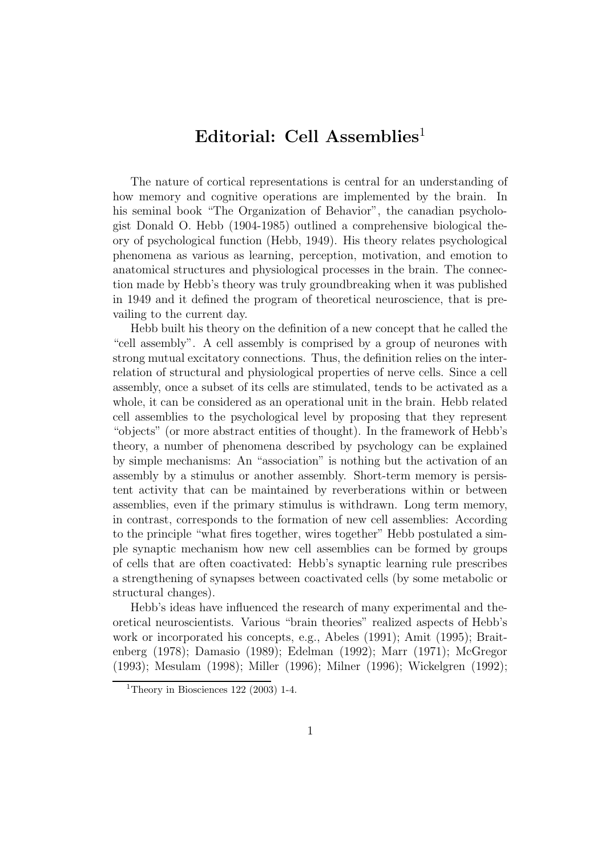## Editorial: Cell Assemblies<sup>1</sup>

The nature of cortical representations is central for an understanding of how memory and cognitive operations are implemented by the brain. In his seminal book "The Organization of Behavior", the canadian psychologist Donald O. Hebb (1904-1985) outlined a comprehensive biological theory of psychological function (Hebb, 1949). His theory relates psychological phenomena as various as learning, perception, motivation, and emotion to anatomical structures and physiological processes in the brain. The connection made by Hebb's theory was truly groundbreaking when it was published in 1949 and it defined the program of theoretical neuroscience, that is prevailing to the current day.

Hebb built his theory on the definition of a new concept that he called the "cell assembly". A cell assembly is comprised by a group of neurones with strong mutual excitatory connections. Thus, the definition relies on the interrelation of structural and physiological properties of nerve cells. Since a cell assembly, once a subset of its cells are stimulated, tends to be activated as a whole, it can be considered as an operational unit in the brain. Hebb related cell assemblies to the psychological level by proposing that they represent "objects" (or more abstract entities of thought). In the framework of Hebb's theory, a number of phenomena described by psychology can be explained by simple mechanisms: An "association" is nothing but the activation of an assembly by a stimulus or another assembly. Short-term memory is persistent activity that can be maintained by reverberations within or between assemblies, even if the primary stimulus is withdrawn. Long term memory, in contrast, corresponds to the formation of new cell assemblies: According to the principle "what fires together, wires together" Hebb postulated a simple synaptic mechanism how new cell assemblies can be formed by groups of cells that are often coactivated: Hebb's synaptic learning rule prescribes a strengthening of synapses between coactivated cells (by some metabolic or structural changes).

Hebb's ideas have influenced the research of many experimental and theoretical neuroscientists. Various "brain theories" realized aspects of Hebb's work or incorporated his concepts, e.g., Abeles (1991); Amit (1995); Braitenberg (1978); Damasio (1989); Edelman (1992); Marr (1971); McGregor (1993); Mesulam (1998); Miller (1996); Milner (1996); Wickelgren (1992);

<sup>&</sup>lt;sup>1</sup>Theory in Biosciences 122 (2003) 1-4.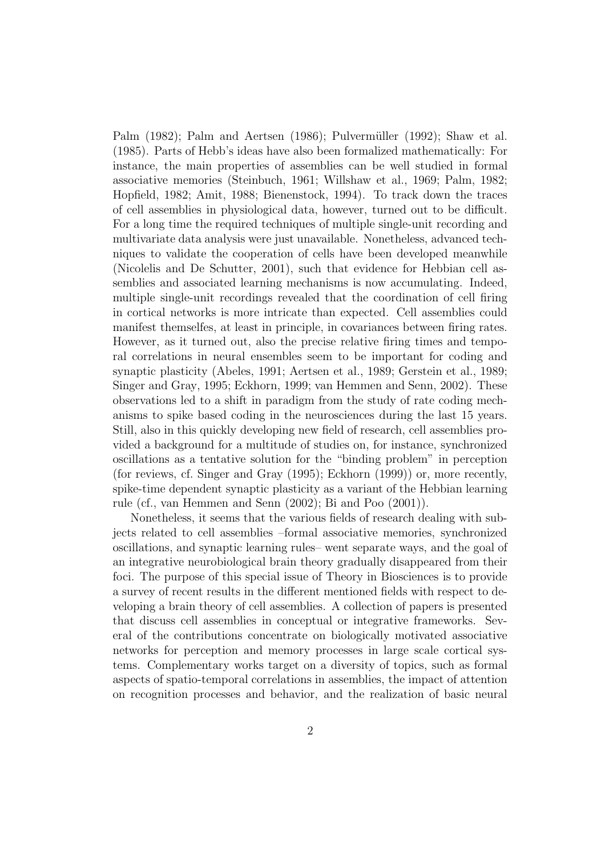Palm  $(1982)$ ; Palm and Aertsen  $(1986)$ ; Pulvermüller  $(1992)$ ; Shaw et al. (1985). Parts of Hebb's ideas have also been formalized mathematically: For instance, the main properties of assemblies can be well studied in formal associative memories (Steinbuch, 1961; Willshaw et al., 1969; Palm, 1982; Hopfield, 1982; Amit, 1988; Bienenstock, 1994). To track down the traces of cell assemblies in physiological data, however, turned out to be difficult. For a long time the required techniques of multiple single-unit recording and multivariate data analysis were just unavailable. Nonetheless, advanced techniques to validate the cooperation of cells have been developed meanwhile (Nicolelis and De Schutter, 2001), such that evidence for Hebbian cell assemblies and associated learning mechanisms is now accumulating. Indeed, multiple single-unit recordings revealed that the coordination of cell firing in cortical networks is more intricate than expected. Cell assemblies could manifest themselfes, at least in principle, in covariances between firing rates. However, as it turned out, also the precise relative firing times and temporal correlations in neural ensembles seem to be important for coding and synaptic plasticity (Abeles, 1991; Aertsen et al., 1989; Gerstein et al., 1989; Singer and Gray, 1995; Eckhorn, 1999; van Hemmen and Senn, 2002). These observations led to a shift in paradigm from the study of rate coding mechanisms to spike based coding in the neurosciences during the last 15 years. Still, also in this quickly developing new field of research, cell assemblies provided a background for a multitude of studies on, for instance, synchronized oscillations as a tentative solution for the "binding problem" in perception (for reviews, cf. Singer and Gray (1995); Eckhorn (1999)) or, more recently, spike-time dependent synaptic plasticity as a variant of the Hebbian learning rule (cf., van Hemmen and Senn (2002); Bi and Poo (2001)).

Nonetheless, it seems that the various fields of research dealing with subjects related to cell assemblies –formal associative memories, synchronized oscillations, and synaptic learning rules– went separate ways, and the goal of an integrative neurobiological brain theory gradually disappeared from their foci. The purpose of this special issue of Theory in Biosciences is to provide a survey of recent results in the different mentioned fields with respect to developing a brain theory of cell assemblies. A collection of papers is presented that discuss cell assemblies in conceptual or integrative frameworks. Several of the contributions concentrate on biologically motivated associative networks for perception and memory processes in large scale cortical systems. Complementary works target on a diversity of topics, such as formal aspects of spatio-temporal correlations in assemblies, the impact of attention on recognition processes and behavior, and the realization of basic neural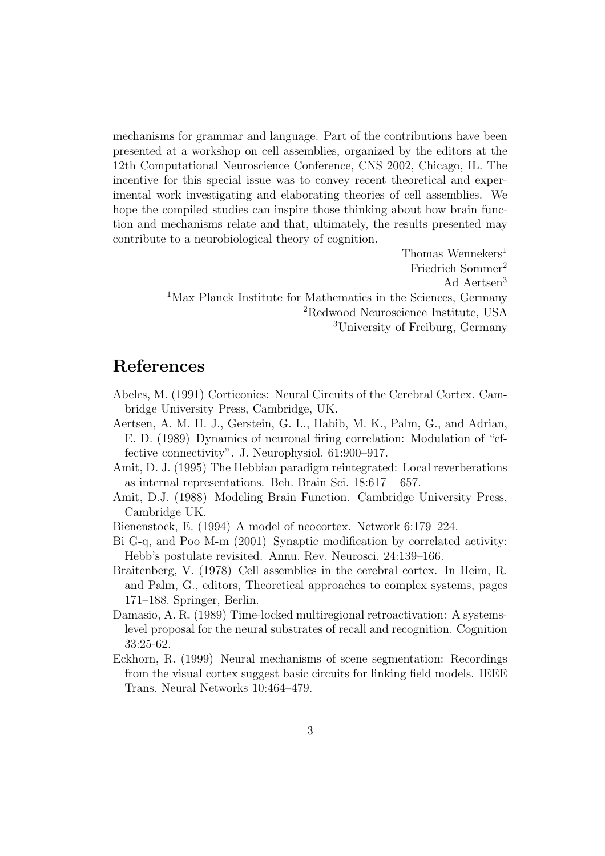mechanisms for grammar and language. Part of the contributions have been presented at a workshop on cell assemblies, organized by the editors at the 12th Computational Neuroscience Conference, CNS 2002, Chicago, IL. The incentive for this special issue was to convey recent theoretical and experimental work investigating and elaborating theories of cell assemblies. We hope the compiled studies can inspire those thinking about how brain function and mechanisms relate and that, ultimately, the results presented may contribute to a neurobiological theory of cognition.

> Thomas Wennekers<sup>1</sup> Friedrich Sommer<sup>2</sup> Ad Aertsen<sup>3</sup> <sup>1</sup>Max Planck Institute for Mathematics in the Sciences, Germany <sup>2</sup>Redwood Neuroscience Institute, USA <sup>3</sup>University of Freiburg, Germany

## References

- Abeles, M. (1991) Corticonics: Neural Circuits of the Cerebral Cortex. Cambridge University Press, Cambridge, UK.
- Aertsen, A. M. H. J., Gerstein, G. L., Habib, M. K., Palm, G., and Adrian, E. D. (1989) Dynamics of neuronal firing correlation: Modulation of "effective connectivity". J. Neurophysiol. 61:900–917.
- Amit, D. J. (1995) The Hebbian paradigm reintegrated: Local reverberations as internal representations. Beh. Brain Sci. 18:617 – 657.
- Amit, D.J. (1988) Modeling Brain Function. Cambridge University Press, Cambridge UK.
- Bienenstock, E. (1994) A model of neocortex. Network 6:179–224.
- Bi G-q, and Poo M-m (2001) Synaptic modification by correlated activity: Hebb's postulate revisited. Annu. Rev. Neurosci. 24:139–166.
- Braitenberg, V. (1978) Cell assemblies in the cerebral cortex. In Heim, R. and Palm, G., editors, Theoretical approaches to complex systems, pages 171–188. Springer, Berlin.
- Damasio, A. R. (1989) Time-locked multiregional retroactivation: A systemslevel proposal for the neural substrates of recall and recognition. Cognition 33:25-62.
- Eckhorn, R. (1999) Neural mechanisms of scene segmentation: Recordings from the visual cortex suggest basic circuits for linking field models. IEEE Trans. Neural Networks 10:464–479.